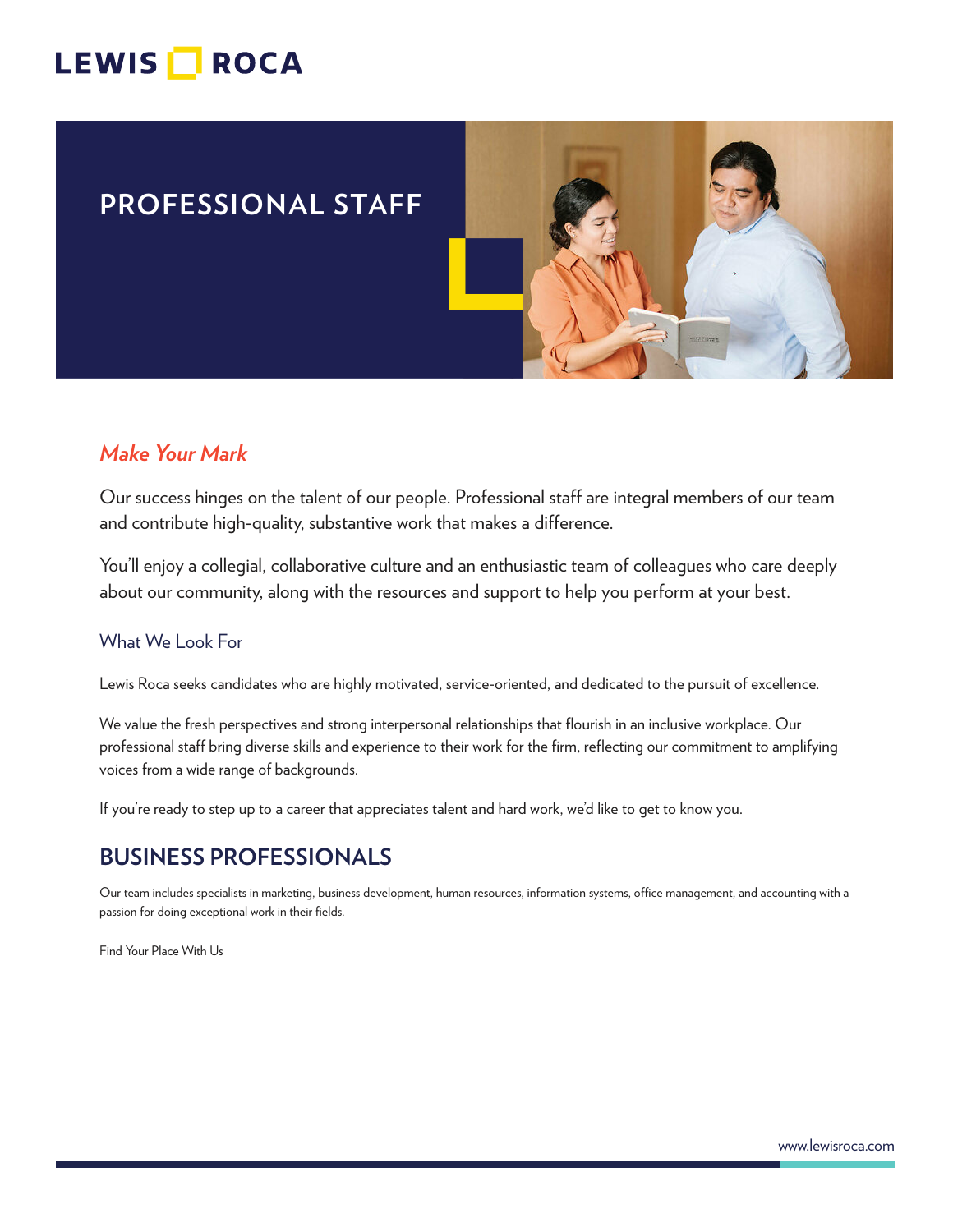## LEWIS **NOCA**

## **PROFESSIONAL STAFF**



### *Make Your Mark*

Our success hinges on the talent of our people. Professional staff are integral members of our team and contribute high-quality, substantive work that makes a difference.

You'll enjoy a collegial, collaborative culture and an enthusiastic team of colleagues who care deeply about our community, along with the resources and support to help you perform at your best.

#### What We Look For

Lewis Roca seeks candidates who are highly motivated, service-oriented, and dedicated to the pursuit of excellence.

We value the fresh perspectives and strong interpersonal relationships that flourish in an inclusive workplace. Our professional staff bring diverse skills and experience to their work for the firm, reflecting our commitment to amplifying voices from a wide range of backgrounds.

If you're ready to step up to a career that appreciates talent and hard work, we'd like to get to know you.

## **BUSINESS PROFESSIONALS**

Our team includes specialists in marketing, business development, human resources, information systems, office management, and accounting with a passion for doing exceptional work in their fields.

Find Your Place With Us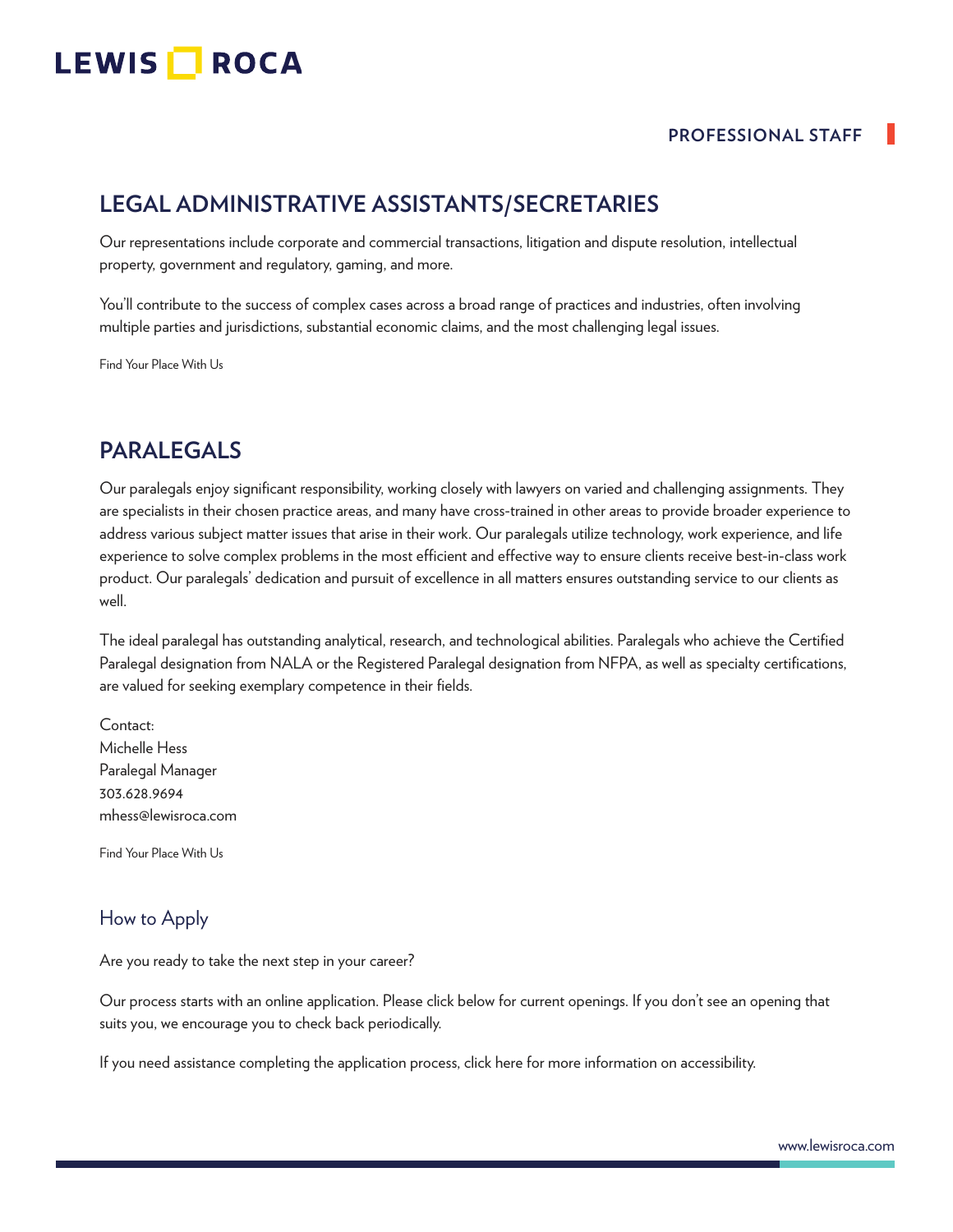# LEWIS **NOCA**

#### **PROFESSIONAL STAFF**

## **LEGAL ADMINISTRATIVE ASSISTANTS/SECRETARIES**

Our representations include corporate and commercial transactions, litigation and dispute resolution, intellectual property, government and regulatory, gaming, and more.

You'll contribute to the success of complex cases across a broad range of practices and industries, often involving multiple parties and jurisdictions, substantial economic claims, and the most challenging legal issues.

Find Your Place With Us

## **PARALEGALS**

Our paralegals enjoy significant responsibility, working closely with lawyers on varied and challenging assignments. They are specialists in their chosen practice areas, and many have cross-trained in other areas to provide broader experience to address various subject matter issues that arise in their work. Our paralegals utilize technology, work experience, and life experience to solve complex problems in the most efficient and effective way to ensure clients receive best-in-class work product. Our paralegals' dedication and pursuit of excellence in all matters ensures outstanding service to our clients as well.

The ideal paralegal has outstanding analytical, research, and technological abilities. Paralegals who achieve the Certified Paralegal designation from NALA or the Registered Paralegal designation from NFPA, as well as specialty certifications, are valued for seeking exemplary competence in their fields.

Contact: Michelle Hess Paralegal Manager 303.628.9694 mhess@lewisroca.com

Find Your Place With Us

#### How to Apply

Are you ready to take the next step in your career?

Our process starts with an online application. Please click below for current openings. If you don't see an opening that suits you, we encourage you to check back periodically.

If you need assistance completing the application process, click here for more information on accessibility.